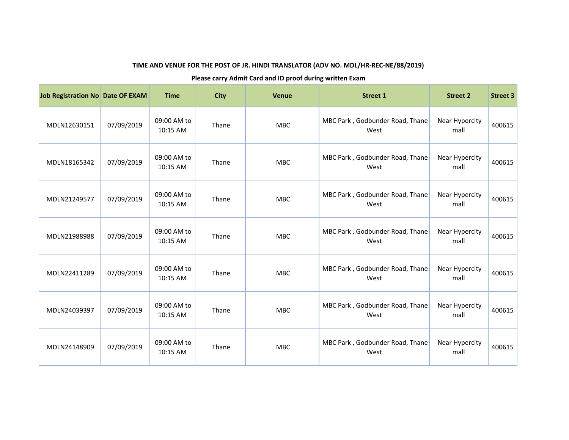| Job Registration No Date OF EXAM |            | <b>Time</b>             | <b>City</b> | <b>Venue</b> | <b>Street 1</b>                         | <b>Street 2</b>        | <b>Street 3</b> |
|----------------------------------|------------|-------------------------|-------------|--------------|-----------------------------------------|------------------------|-----------------|
| MDLN12630151                     | 07/09/2019 | 09:00 AM to<br>10:15 AM | Thane       | <b>MBC</b>   | MBC Park, Godbunder Road, Thane<br>West | Near Hypercity<br>mall | 400615          |
| MDLN18165342                     | 07/09/2019 | 09:00 AM to<br>10:15 AM | Thane       | <b>MBC</b>   | MBC Park, Godbunder Road, Thane<br>West | Near Hypercity<br>mall | 400615          |
| MDLN21249577                     | 07/09/2019 | 09:00 AM to<br>10:15 AM | Thane       | <b>MBC</b>   | MBC Park, Godbunder Road, Thane<br>West | Near Hypercity<br>mall | 400615          |
| MDLN21988988                     | 07/09/2019 | 09:00 AM to<br>10:15 AM | Thane       | <b>MBC</b>   | MBC Park, Godbunder Road, Thane<br>West | Near Hypercity<br>mall | 400615          |
| MDLN22411289                     | 07/09/2019 | 09:00 AM to<br>10:15 AM | Thane       | <b>MBC</b>   | MBC Park, Godbunder Road, Thane<br>West | Near Hypercity<br>mall | 400615          |
| MDLN24039397                     | 07/09/2019 | 09:00 AM to<br>10:15 AM | Thane       | <b>MBC</b>   | MBC Park, Godbunder Road, Thane<br>West | Near Hypercity<br>mall | 400615          |
| MDLN24148909                     | 07/09/2019 | 09:00 AM to<br>10:15 AM | Thane       | MBC          | MBC Park, Godbunder Road, Thane<br>West | Near Hypercity<br>mall | 400615          |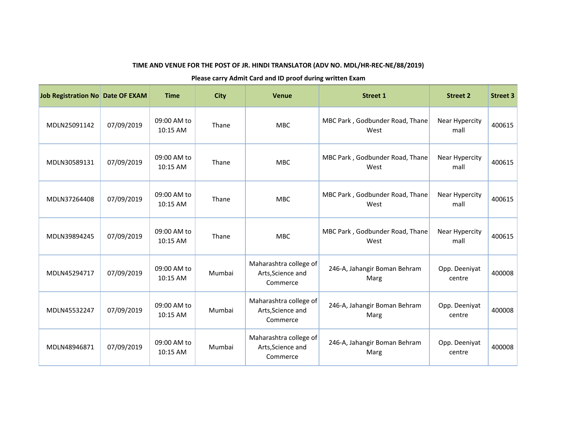| Job Registration No Date OF EXAM |            | <b>Time</b>             | <b>City</b> | <b>Venue</b>                                            | <b>Street 1</b>                         | <b>Street 2</b>         | <b>Street 3</b> |
|----------------------------------|------------|-------------------------|-------------|---------------------------------------------------------|-----------------------------------------|-------------------------|-----------------|
| MDLN25091142                     | 07/09/2019 | 09:00 AM to<br>10:15 AM | Thane       | <b>MBC</b>                                              | MBC Park, Godbunder Road, Thane<br>West | Near Hypercity<br>mall  | 400615          |
| MDLN30589131                     | 07/09/2019 | 09:00 AM to<br>10:15 AM | Thane       | <b>MBC</b>                                              | MBC Park, Godbunder Road, Thane<br>West | Near Hypercity<br>mall  | 400615          |
| MDLN37264408                     | 07/09/2019 | 09:00 AM to<br>10:15 AM | Thane       | <b>MBC</b>                                              | MBC Park, Godbunder Road, Thane<br>West | Near Hypercity<br>mall  | 400615          |
| MDLN39894245                     | 07/09/2019 | 09:00 AM to<br>10:15 AM | Thane       | <b>MBC</b>                                              | MBC Park, Godbunder Road, Thane<br>West | Near Hypercity<br>mall  | 400615          |
| MDLN45294717                     | 07/09/2019 | 09:00 AM to<br>10:15 AM | Mumbai      | Maharashtra college of<br>Arts, Science and<br>Commerce | 246-A, Jahangir Boman Behram<br>Marg    | Opp. Deeniyat<br>centre | 400008          |
| MDLN45532247                     | 07/09/2019 | 09:00 AM to<br>10:15 AM | Mumbai      | Maharashtra college of<br>Arts, Science and<br>Commerce | 246-A, Jahangir Boman Behram<br>Marg    | Opp. Deeniyat<br>centre | 400008          |
| MDLN48946871                     | 07/09/2019 | 09:00 AM to<br>10:15 AM | Mumbai      | Maharashtra college of<br>Arts, Science and<br>Commerce | 246-A, Jahangir Boman Behram<br>Marg    | Opp. Deeniyat<br>centre | 400008          |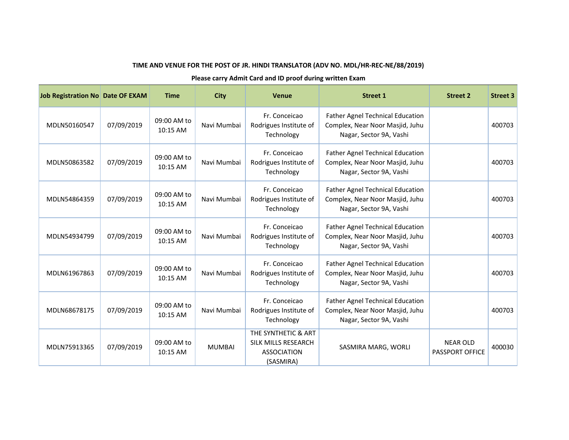| Job Registration No Date OF EXAM |            | <b>Time</b>             | <b>City</b>   | <b>Venue</b>                                                                  | <b>Street 1</b>                                                                                       | <b>Street 2</b>                           | <b>Street 3</b> |
|----------------------------------|------------|-------------------------|---------------|-------------------------------------------------------------------------------|-------------------------------------------------------------------------------------------------------|-------------------------------------------|-----------------|
| MDLN50160547                     | 07/09/2019 | 09:00 AM to<br>10:15 AM | Navi Mumbai   | Fr. Conceicao<br>Rodrigues Institute of<br>Technology                         | <b>Father Agnel Technical Education</b><br>Complex, Near Noor Masjid, Juhu<br>Nagar, Sector 9A, Vashi |                                           | 400703          |
| MDLN50863582                     | 07/09/2019 | 09:00 AM to<br>10:15 AM | Navi Mumbai   | Fr. Conceicao<br>Rodrigues Institute of<br>Technology                         | <b>Father Agnel Technical Education</b><br>Complex, Near Noor Masjid, Juhu<br>Nagar, Sector 9A, Vashi |                                           | 400703          |
| MDLN54864359                     | 07/09/2019 | 09:00 AM to<br>10:15 AM | Navi Mumbai   | Fr. Conceicao<br>Rodrigues Institute of<br>Technology                         | <b>Father Agnel Technical Education</b><br>Complex, Near Noor Masjid, Juhu<br>Nagar, Sector 9A, Vashi |                                           | 400703          |
| MDLN54934799                     | 07/09/2019 | 09:00 AM to<br>10:15 AM | Navi Mumbai   | Fr. Conceicao<br>Rodrigues Institute of<br>Technology                         | <b>Father Agnel Technical Education</b><br>Complex, Near Noor Masjid, Juhu<br>Nagar, Sector 9A, Vashi |                                           | 400703          |
| MDLN61967863                     | 07/09/2019 | 09:00 AM to<br>10:15 AM | Navi Mumbai   | Fr. Conceicao<br>Rodrigues Institute of<br>Technology                         | <b>Father Agnel Technical Education</b><br>Complex, Near Noor Masjid, Juhu<br>Nagar, Sector 9A, Vashi |                                           | 400703          |
| MDLN68678175                     | 07/09/2019 | 09:00 AM to<br>10:15 AM | Navi Mumbai   | Fr. Conceicao<br>Rodrigues Institute of<br>Technology                         | <b>Father Agnel Technical Education</b><br>Complex, Near Noor Masjid, Juhu<br>Nagar, Sector 9A, Vashi |                                           | 400703          |
| MDLN75913365                     | 07/09/2019 | 09:00 AM to<br>10:15 AM | <b>MUMBAI</b> | THE SYNTHETIC & ART<br>SILK MILLS RESEARCH<br><b>ASSOCIATION</b><br>(SASMIRA) | SASMIRA MARG, WORLI                                                                                   | <b>NEAR OLD</b><br><b>PASSPORT OFFICE</b> | 400030          |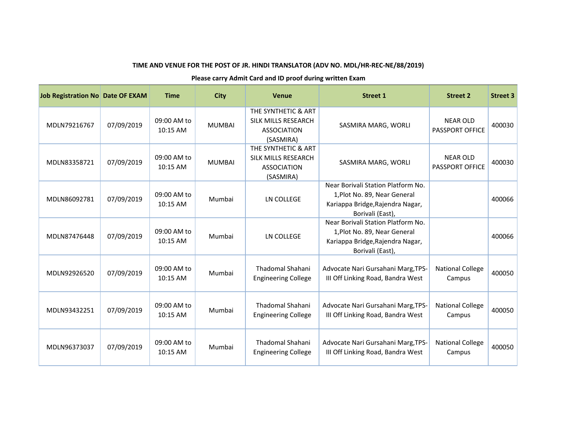| Job Registration No Date OF EXAM |            | <b>Time</b>             | <b>City</b>   | <b>Venue</b>                                                                         | <b>Street 1</b>                                                                                                            | <b>Street 2</b>                           | <b>Street 3</b> |
|----------------------------------|------------|-------------------------|---------------|--------------------------------------------------------------------------------------|----------------------------------------------------------------------------------------------------------------------------|-------------------------------------------|-----------------|
| MDLN79216767                     | 07/09/2019 | 09:00 AM to<br>10:15 AM | <b>MUMBAI</b> | THE SYNTHETIC & ART<br><b>SILK MILLS RESEARCH</b><br><b>ASSOCIATION</b><br>(SASMIRA) | SASMIRA MARG, WORLI                                                                                                        | <b>NEAR OLD</b><br>PASSPORT OFFICE        | 400030          |
| MDLN83358721                     | 07/09/2019 | 09:00 AM to<br>10:15 AM | <b>MUMBAI</b> | THE SYNTHETIC & ART<br>SILK MILLS RESEARCH<br><b>ASSOCIATION</b><br>(SASMIRA)        | SASMIRA MARG, WORLI                                                                                                        | <b>NEAR OLD</b><br><b>PASSPORT OFFICE</b> | 400030          |
| MDLN86092781                     | 07/09/2019 | 09:00 AM to<br>10:15 AM | Mumbai        | LN COLLEGE                                                                           | Near Borivali Station Platform No.<br>1, Plot No. 89, Near General<br>Kariappa Bridge, Rajendra Nagar,<br>Borivali (East), |                                           | 400066          |
| MDLN87476448                     | 07/09/2019 | 09:00 AM to<br>10:15 AM | Mumbai        | LN COLLEGE                                                                           | Near Borivali Station Platform No.<br>1, Plot No. 89, Near General<br>Kariappa Bridge, Rajendra Nagar,<br>Borivali (East), |                                           | 400066          |
| MDLN92926520                     | 07/09/2019 | 09:00 AM to<br>10:15 AM | Mumbai        | <b>Thadomal Shahani</b><br><b>Engineering College</b>                                | Advocate Nari Gursahani Marg, TPS-<br>III Off Linking Road, Bandra West                                                    | <b>National College</b><br>Campus         | 400050          |
| MDLN93432251                     | 07/09/2019 | 09:00 AM to<br>10:15 AM | Mumbai        | <b>Thadomal Shahani</b><br><b>Engineering College</b>                                | Advocate Nari Gursahani Marg, TPS-<br>III Off Linking Road, Bandra West                                                    | <b>National College</b><br>Campus         | 400050          |
| MDLN96373037                     | 07/09/2019 | 09:00 AM to<br>10:15 AM | Mumbai        | Thadomal Shahani<br><b>Engineering College</b>                                       | Advocate Nari Gursahani Marg, TPS-<br>III Off Linking Road, Bandra West                                                    | <b>National College</b><br>Campus         | 400050          |